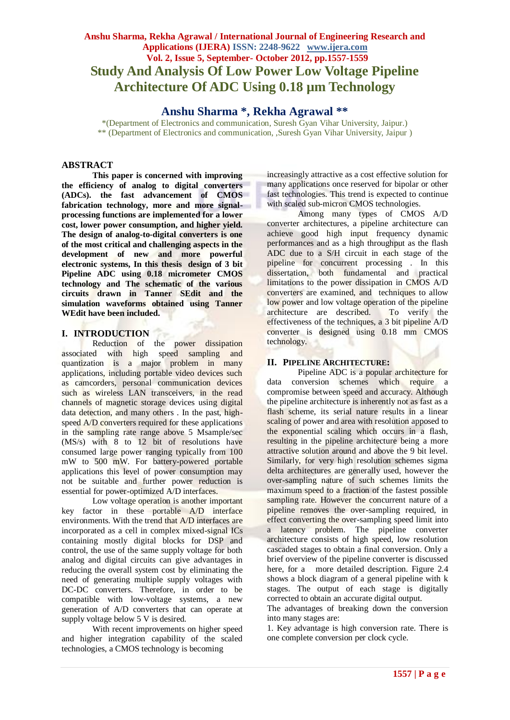# **Anshu Sharma, Rekha Agrawal / International Journal of Engineering Research and Applications (IJERA) ISSN: 2248-9622 www.ijera.com Vol. 2, Issue 5, September- October 2012, pp.1557-1559 Study And Analysis Of Low Power Low Voltage Pipeline Architecture Of ADC Using 0.18 µm Technology**

**Anshu Sharma \*, Rekha Agrawal \*\***

\*(Department of Electronics and communication, Suresh Gyan Vihar University, Jaipur.) \*\* (Department of Electronics and communication, ,Suresh Gyan Vihar University, Jaipur )

# **ABSTRACT**

**This paper is concerned with improving the efficiency of analog to digital converters (ADCs). the fast advancement of CMOS fabrication technology, more and more signalprocessing functions are implemented for a lower cost, lower power consumption, and higher yield. The design of analog-to-digital converters is one of the most critical and challenging aspects in the development of new and more powerful electronic systems, In this thesis design of 3 bit Pipeline ADC using 0.18 micrometer CMOS technology and The schematic of the various circuits drawn in Tanner SEdit and the simulation waveforms obtained using Tanner WEdit have been included.**

# **I. INTRODUCTION**

Reduction of the power dissipation associated with high speed sampling and quantization is a major problem in many applications, including portable video devices such as camcorders, personal communication devices such as wireless LAN transceivers, in the read channels of magnetic storage devices using digital data detection, and many others . In the past, highspeed A/D converters required for these applications in the sampling rate range above 5 Msample/sec (MS/s) with 8 to 12 bit of resolutions have consumed large power ranging typically from 100 mW to 500 mW. For battery-powered portable applications this level of power consumption may not be suitable and further power reduction is essential for power-optimized A/D interfaces.

Low voltage operation is another important key factor in these portable A/D interface environments. With the trend that A/D interfaces are incorporated as a cell in complex mixed-signal ICs containing mostly digital blocks for DSP and control, the use of the same supply voltage for both analog and digital circuits can give advantages in reducing the overall system cost by eliminating the need of generating multiple supply voltages with DC-DC converters. Therefore, in order to be compatible with low-voltage systems, a new generation of A/D converters that can operate at supply voltage below 5 V is desired.

With recent improvements on higher speed and higher integration capability of the scaled technologies, a CMOS technology is becoming

increasingly attractive as a cost effective solution for many applications once reserved for bipolar or other fast technologies. This trend is expected to continue with scaled sub-micron CMOS technologies.

Among many types of CMOS A/D converter architectures, a pipeline architecture can achieve good high input frequency dynamic performances and as a high throughput as the flash ADC due to a S/H circuit in each stage of the pipeline for concurrent processing . In this dissertation, both fundamental and practical limitations to the power dissipation in CMOS A/D converters are examined, and techniques to allow low power and low voltage operation of the pipeline architecture are described. To verify the effectiveness of the techniques, a 3 bit pipeline A/D converter is designed using 0.18 mm CMOS technology.

# **II. PIPELINE ARCHITECTURE:**

Pipeline ADC is a popular architecture for data conversion schemes which require a compromise between speed and accuracy. Although the pipeline architecture is inherently not as fast as a flash scheme, its serial nature results in a linear scaling of power and area with resolution apposed to the exponential scaling which occurs in a flash, resulting in the pipeline architecture being a more attractive solution around and above the 9 bit level. Similarly, for very high resolution schemes sigma delta architectures are generally used, however the over-sampling nature of such schemes limits the maximum speed to a fraction of the fastest possible sampling rate. However the concurrent nature of a pipeline removes the over-sampling required, in effect converting the over-sampling speed limit into a latency problem. The pipeline converter architecture consists of high speed, low resolution cascaded stages to obtain a final conversion. Only a brief overview of the pipeline converter is discussed here, for a more detailed description. Figure 2.4 shows a block diagram of a general pipeline with k stages. The output of each stage is digitally corrected to obtain an accurate digital output.

The advantages of breaking down the conversion into many stages are:

1. Key advantage is high conversion rate. There is one complete conversion per clock cycle.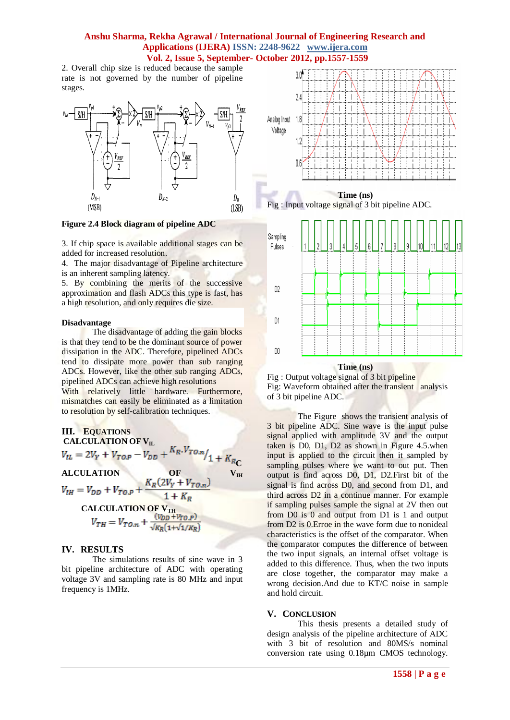# **Anshu Sharma, Rekha Agrawal / International Journal of Engineering Research and Applications (IJERA) ISSN: 2248-9622 www.ijera.com Vol. 2, Issue 5, September- October 2012, pp.1557-1559**

2. Overall chip size is reduced because the sample rate is not governed by the number of pipeline stages.



### **Figure 2.4 Block diagram of pipeline ADC**

3. If chip space is available additional stages can be added for increased resolution.

4. The major disadvantage of Pipeline architecture is an inherent sampling latency.

5. By combining the merits of the successive approximation and flash ADCs this type is fast, has a high resolution, and only requires die size.

#### **Disadvantage**

The disadvantage of adding the gain blocks is that they tend to be the dominant source of power dissipation in the ADC. Therefore, pipelined ADCs tend to dissipate more power than sub ranging ADCs. However, like the other sub ranging ADCs, pipelined ADCs can achieve high resolutions With relatively little hardware. Furthermore, mismatches can easily be eliminated as a limitation to resolution by self-calibration techniques.

III. EQUATIONS  
\nCALCULATION OF V<sub>IL</sub>  
\n
$$
V_{IL} = 2V_Y + V_{TO,P} - V_{DD} + \frac{K_R.V_{TO,n}}{1 + K_{RC}}
$$
\nALCULATION OF V<sub>IH</sub>  
\n
$$
V_{IH} = V_{DD} + V_{TO,P} + \frac{K_R(2V_Y + V_{TO,n})}{1 + K_R}
$$
\nCALCULATION OF V<sub>TH</sub>  
\n
$$
V_{TH} = V_{TO,n} + \frac{(V_{DD} + V_{TO,P})}{\sqrt{K_R(1 + \sqrt{1/K_R})}}
$$

#### **IV. RESULTS**

The simulations results of sine wave in 3 bit pipeline architecture of ADC with operating voltage 3V and sampling rate is 80 MHz and input frequency is 1MHz.



 **Time (ns)** Fig : Input voltage signal of 3 bit pipeline ADC.



Fig : Output voltage signal of 3 bit pipeline Fig: Waveform obtained after the transient analysis of 3 bit pipeline ADC.

The Figure shows the transient analysis of 3 bit pipeline ADC. Sine wave is the input pulse signal applied with amplitude 3V and the output taken is D0, D1, D2 as shown in Figure 4.5.when input is applied to the circuit then it sampled by sampling pulses where we want to out put. Then output is find across D0, D1, D2.First bit of the signal is find across D0, and second from D1, and third across D2 in a continue manner. For example if sampling pulses sample the signal at 2V then out from D0 is 0 and output from D1 is 1 and output from D2 is 0.Erroe in the wave form due to nonideal characteristics is the offset of the comparator. When the comparator computes the difference of between the two input signals, an internal offset voltage is added to this difference. Thus, when the two inputs are close together, the comparator may make a wrong decision.And due to KT/C noise in sample and hold circuit.

#### **V. CONCLUSION**

This thesis presents a detailed study of design analysis of the pipeline architecture of ADC with 3 bit of resolution and 80MS/s nominal conversion rate using 0.18µm CMOS technology.